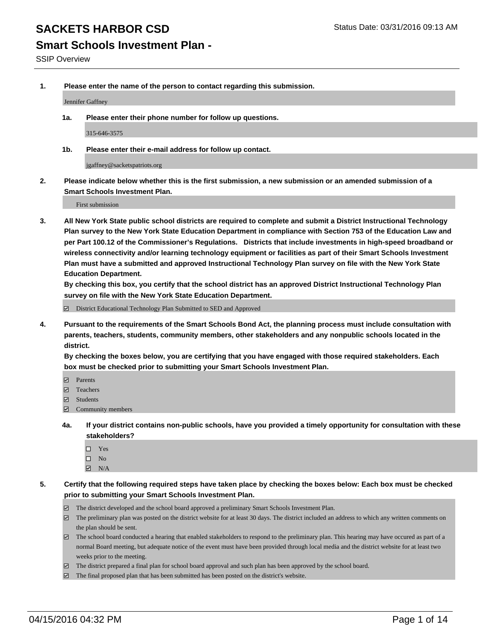#### **Smart Schools Investment Plan -**

SSIP Overview

**1. Please enter the name of the person to contact regarding this submission.**

Jennifer Gaffney

**1a. Please enter their phone number for follow up questions.**

315-646-3575

**1b. Please enter their e-mail address for follow up contact.**

jgaffney@sacketspatriots.org

**2. Please indicate below whether this is the first submission, a new submission or an amended submission of a Smart Schools Investment Plan.**

First submission

**3. All New York State public school districts are required to complete and submit a District Instructional Technology Plan survey to the New York State Education Department in compliance with Section 753 of the Education Law and per Part 100.12 of the Commissioner's Regulations. Districts that include investments in high-speed broadband or wireless connectivity and/or learning technology equipment or facilities as part of their Smart Schools Investment Plan must have a submitted and approved Instructional Technology Plan survey on file with the New York State Education Department.** 

**By checking this box, you certify that the school district has an approved District Instructional Technology Plan survey on file with the New York State Education Department.**

■ District Educational Technology Plan Submitted to SED and Approved

**4. Pursuant to the requirements of the Smart Schools Bond Act, the planning process must include consultation with parents, teachers, students, community members, other stakeholders and any nonpublic schools located in the district.** 

**By checking the boxes below, you are certifying that you have engaged with those required stakeholders. Each box must be checked prior to submitting your Smart Schools Investment Plan.**

- **Parents**
- □ Teachers
- Students
- $\boxdot$  Community members
- **4a. If your district contains non-public schools, have you provided a timely opportunity for consultation with these stakeholders?**
	- □ Yes
	- $\square$  No
	- $\boxtimes$  N/A
- **5. Certify that the following required steps have taken place by checking the boxes below: Each box must be checked prior to submitting your Smart Schools Investment Plan.**
	- The district developed and the school board approved a preliminary Smart Schools Investment Plan.
	- The preliminary plan was posted on the district website for at least 30 days. The district included an address to which any written comments on the plan should be sent.
	- $\Box$  The school board conducted a hearing that enabled stakeholders to respond to the preliminary plan. This hearing may have occured as part of a normal Board meeting, but adequate notice of the event must have been provided through local media and the district website for at least two weeks prior to the meeting.
	- The district prepared a final plan for school board approval and such plan has been approved by the school board.
	- The final proposed plan that has been submitted has been posted on the district's website.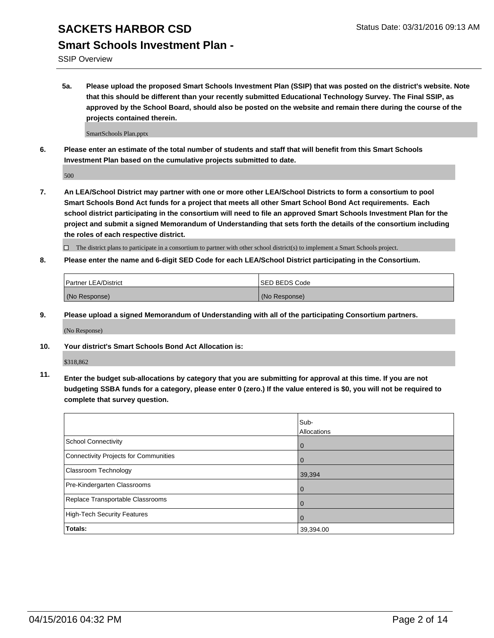#### **Smart Schools Investment Plan -**

SSIP Overview

**5a. Please upload the proposed Smart Schools Investment Plan (SSIP) that was posted on the district's website. Note that this should be different than your recently submitted Educational Technology Survey. The Final SSIP, as approved by the School Board, should also be posted on the website and remain there during the course of the projects contained therein.**

SmartSchools Plan.pptx

**6. Please enter an estimate of the total number of students and staff that will benefit from this Smart Schools Investment Plan based on the cumulative projects submitted to date.**

500

**7. An LEA/School District may partner with one or more other LEA/School Districts to form a consortium to pool Smart Schools Bond Act funds for a project that meets all other Smart School Bond Act requirements. Each school district participating in the consortium will need to file an approved Smart Schools Investment Plan for the project and submit a signed Memorandum of Understanding that sets forth the details of the consortium including the roles of each respective district.**

 $\Box$  The district plans to participate in a consortium to partner with other school district(s) to implement a Smart Schools project.

**8. Please enter the name and 6-digit SED Code for each LEA/School District participating in the Consortium.**

| <b>Partner LEA/District</b> | <b>ISED BEDS Code</b> |
|-----------------------------|-----------------------|
| (No Response)               | (No Response)         |

**9. Please upload a signed Memorandum of Understanding with all of the participating Consortium partners.**

(No Response)

**10. Your district's Smart Schools Bond Act Allocation is:**

\$318,862

**11. Enter the budget sub-allocations by category that you are submitting for approval at this time. If you are not budgeting SSBA funds for a category, please enter 0 (zero.) If the value entered is \$0, you will not be required to complete that survey question.**

|                                       | Sub-<br>Allocations |
|---------------------------------------|---------------------|
| School Connectivity                   | 0                   |
| Connectivity Projects for Communities |                     |
| <b>Classroom Technology</b>           | 39,394              |
| Pre-Kindergarten Classrooms           | 0                   |
| Replace Transportable Classrooms      | 0                   |
| High-Tech Security Features           | 0                   |
| Totals:                               | 39,394.00           |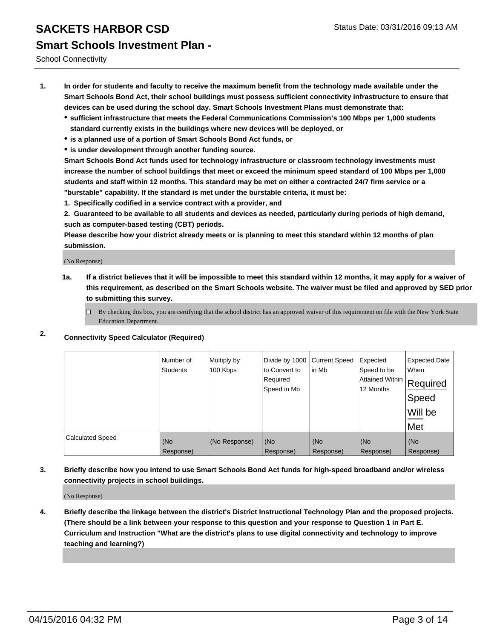School Connectivity

- **1. In order for students and faculty to receive the maximum benefit from the technology made available under the Smart Schools Bond Act, their school buildings must possess sufficient connectivity infrastructure to ensure that devices can be used during the school day. Smart Schools Investment Plans must demonstrate that:**
	- **sufficient infrastructure that meets the Federal Communications Commission's 100 Mbps per 1,000 students standard currently exists in the buildings where new devices will be deployed, or**
	- **is a planned use of a portion of Smart Schools Bond Act funds, or**
	- **is under development through another funding source.**

**Smart Schools Bond Act funds used for technology infrastructure or classroom technology investments must increase the number of school buildings that meet or exceed the minimum speed standard of 100 Mbps per 1,000 students and staff within 12 months. This standard may be met on either a contracted 24/7 firm service or a "burstable" capability. If the standard is met under the burstable criteria, it must be:**

**1. Specifically codified in a service contract with a provider, and**

**2. Guaranteed to be available to all students and devices as needed, particularly during periods of high demand, such as computer-based testing (CBT) periods.**

**Please describe how your district already meets or is planning to meet this standard within 12 months of plan submission.**

(No Response)

- **1a. If a district believes that it will be impossible to meet this standard within 12 months, it may apply for a waiver of this requirement, as described on the Smart Schools website. The waiver must be filed and approved by SED prior to submitting this survey.**
	- By checking this box, you are certifying that the school district has an approved waiver of this requirement on file with the New York State Education Department.
- **2. Connectivity Speed Calculator (Required)**

|                         | Number of<br>Students | Multiply by<br>100 Kbps | Divide by 1000<br>to Convert to<br>Required<br>Speed in Mb | <b>Current Speed</b><br>in Mb | Expected<br>Speed to be<br> Attained Within   Required<br>12 Months | <b>Expected Date</b><br>When<br>Speed<br>Will be<br>Met |
|-------------------------|-----------------------|-------------------------|------------------------------------------------------------|-------------------------------|---------------------------------------------------------------------|---------------------------------------------------------|
| <b>Calculated Speed</b> | (No<br>Response)      | (No Response)           | (No<br>Response)                                           | (No<br>Response)              | (No<br>Response)                                                    | (No<br>Response)                                        |

**3. Briefly describe how you intend to use Smart Schools Bond Act funds for high-speed broadband and/or wireless connectivity projects in school buildings.**

(No Response)

**4. Briefly describe the linkage between the district's District Instructional Technology Plan and the proposed projects. (There should be a link between your response to this question and your response to Question 1 in Part E. Curriculum and Instruction "What are the district's plans to use digital connectivity and technology to improve teaching and learning?)**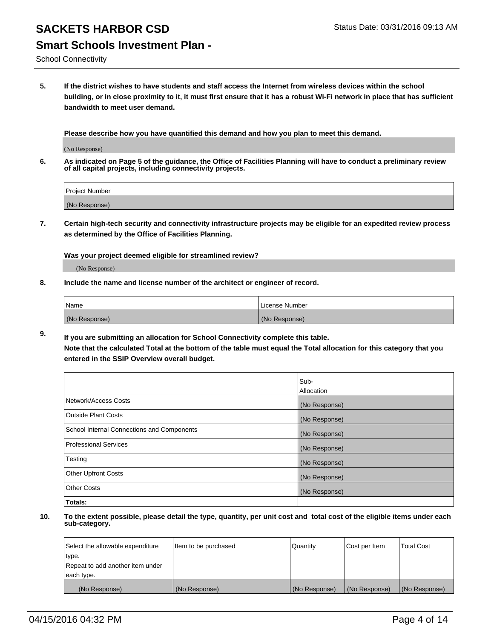School Connectivity

**5. If the district wishes to have students and staff access the Internet from wireless devices within the school building, or in close proximity to it, it must first ensure that it has a robust Wi-Fi network in place that has sufficient bandwidth to meet user demand.**

**Please describe how you have quantified this demand and how you plan to meet this demand.**

(No Response)

**6. As indicated on Page 5 of the guidance, the Office of Facilities Planning will have to conduct a preliminary review of all capital projects, including connectivity projects.**

| <b>Project Number</b> |  |
|-----------------------|--|
| (No Response)         |  |

**7. Certain high-tech security and connectivity infrastructure projects may be eligible for an expedited review process as determined by the Office of Facilities Planning.**

**Was your project deemed eligible for streamlined review?**

(No Response)

**8. Include the name and license number of the architect or engineer of record.**

| <i>Name</i>   | License Number |
|---------------|----------------|
| (No Response) | (No Response)  |

**9. If you are submitting an allocation for School Connectivity complete this table. Note that the calculated Total at the bottom of the table must equal the Total allocation for this category that you entered in the SSIP Overview overall budget.** 

|                                            | Sub-<br>Allocation |
|--------------------------------------------|--------------------|
| Network/Access Costs                       | (No Response)      |
| <b>Outside Plant Costs</b>                 | (No Response)      |
| School Internal Connections and Components | (No Response)      |
| <b>Professional Services</b>               | (No Response)      |
| Testing                                    | (No Response)      |
| <b>Other Upfront Costs</b>                 | (No Response)      |
| <b>Other Costs</b>                         | (No Response)      |
| Totals:                                    |                    |

| Select the allowable expenditure | litem to be purchased | Quantity      | Cost per Item | <b>Total Cost</b> |
|----------------------------------|-----------------------|---------------|---------------|-------------------|
| type.                            |                       |               |               |                   |
| Repeat to add another item under |                       |               |               |                   |
| each type.                       |                       |               |               |                   |
| (No Response)                    | (No Response)         | (No Response) | (No Response) | (No Response)     |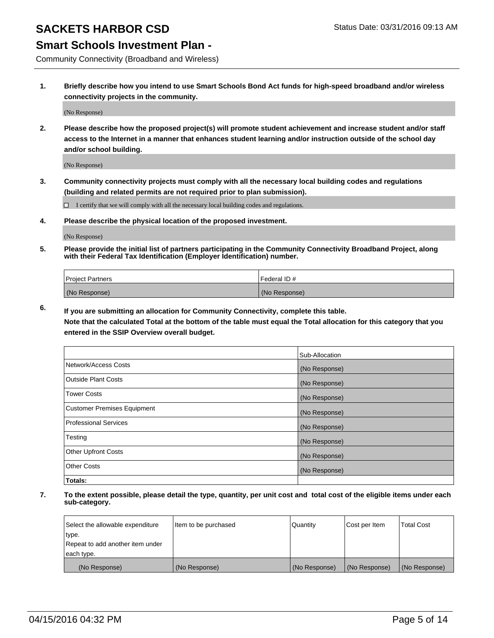#### **Smart Schools Investment Plan -**

Community Connectivity (Broadband and Wireless)

**1. Briefly describe how you intend to use Smart Schools Bond Act funds for high-speed broadband and/or wireless connectivity projects in the community.**

(No Response)

**2. Please describe how the proposed project(s) will promote student achievement and increase student and/or staff access to the Internet in a manner that enhances student learning and/or instruction outside of the school day and/or school building.**

(No Response)

**3. Community connectivity projects must comply with all the necessary local building codes and regulations (building and related permits are not required prior to plan submission).**

 $\Box$  I certify that we will comply with all the necessary local building codes and regulations.

**4. Please describe the physical location of the proposed investment.**

(No Response)

**5. Please provide the initial list of partners participating in the Community Connectivity Broadband Project, along with their Federal Tax Identification (Employer Identification) number.**

| <b>Project Partners</b> | <b>IFederal ID#</b> |
|-------------------------|---------------------|
| (No Response)           | (No Response)       |

**6. If you are submitting an allocation for Community Connectivity, complete this table.**

**Note that the calculated Total at the bottom of the table must equal the Total allocation for this category that you entered in the SSIP Overview overall budget.**

|                                    | Sub-Allocation |
|------------------------------------|----------------|
| Network/Access Costs               | (No Response)  |
| Outside Plant Costs                | (No Response)  |
| Tower Costs                        | (No Response)  |
| <b>Customer Premises Equipment</b> | (No Response)  |
| Professional Services              | (No Response)  |
| Testing                            | (No Response)  |
| <b>Other Upfront Costs</b>         | (No Response)  |
| Other Costs                        | (No Response)  |
| Totals:                            |                |

| Select the allowable expenditure | litem to be purchased | Quantity      | Cost per Item | <b>Total Cost</b> |
|----------------------------------|-----------------------|---------------|---------------|-------------------|
| type.                            |                       |               |               |                   |
| Repeat to add another item under |                       |               |               |                   |
| each type.                       |                       |               |               |                   |
| (No Response)                    | (No Response)         | (No Response) | (No Response) | (No Response)     |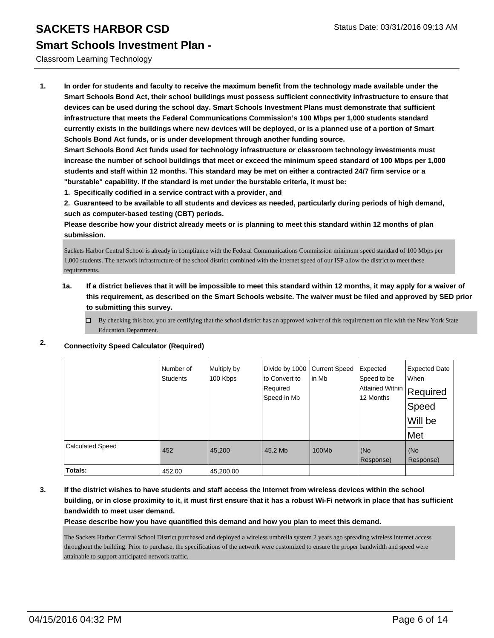Classroom Learning Technology

**1. In order for students and faculty to receive the maximum benefit from the technology made available under the Smart Schools Bond Act, their school buildings must possess sufficient connectivity infrastructure to ensure that devices can be used during the school day. Smart Schools Investment Plans must demonstrate that sufficient infrastructure that meets the Federal Communications Commission's 100 Mbps per 1,000 students standard currently exists in the buildings where new devices will be deployed, or is a planned use of a portion of Smart Schools Bond Act funds, or is under development through another funding source.**

**Smart Schools Bond Act funds used for technology infrastructure or classroom technology investments must increase the number of school buildings that meet or exceed the minimum speed standard of 100 Mbps per 1,000 students and staff within 12 months. This standard may be met on either a contracted 24/7 firm service or a "burstable" capability. If the standard is met under the burstable criteria, it must be:**

**1. Specifically codified in a service contract with a provider, and**

**2. Guaranteed to be available to all students and devices as needed, particularly during periods of high demand, such as computer-based testing (CBT) periods.**

**Please describe how your district already meets or is planning to meet this standard within 12 months of plan submission.**

Sackets Harbor Central School is already in compliance with the Federal Communications Commission minimum speed standard of 100 Mbps per 1,000 students. The network infrastructure of the school district combined with the internet speed of our ISP allow the district to meet these requirements.

#### **1a. If a district believes that it will be impossible to meet this standard within 12 months, it may apply for a waiver of this requirement, as described on the Smart Schools website. The waiver must be filed and approved by SED prior to submitting this survey.**

 $\Box$  By checking this box, you are certifying that the school district has an approved waiver of this requirement on file with the New York State Education Department.

| 2. | <b>Connectivity Speed Calculator (Required)</b> |  |  |
|----|-------------------------------------------------|--|--|
|    |                                                 |  |  |

|                         | Number of<br><b>Students</b> | Multiply by<br>100 Kbps | Divide by 1000<br>to Convert to<br>Required<br>Speed in Mb | <b>Current Speed</b><br>in Mb | Expected<br>Speed to be<br><b>Attained Within</b><br>12 Months | <b>Expected Date</b><br>When<br>Required<br>Speed<br>Will be<br>Met |
|-------------------------|------------------------------|-------------------------|------------------------------------------------------------|-------------------------------|----------------------------------------------------------------|---------------------------------------------------------------------|
| <b>Calculated Speed</b> | 452                          | 45,200                  | 45.2 Mb                                                    | 100Mb                         | (No<br>Response)                                               | (No<br>Response)                                                    |
| Totals:                 | 452.00                       | 45,200.00               |                                                            |                               |                                                                |                                                                     |

**3. If the district wishes to have students and staff access the Internet from wireless devices within the school building, or in close proximity to it, it must first ensure that it has a robust Wi-Fi network in place that has sufficient bandwidth to meet user demand.**

**Please describe how you have quantified this demand and how you plan to meet this demand.**

The Sackets Harbor Central School District purchased and deployed a wireless umbrella system 2 years ago spreading wireless internet access throughout the building. Prior to purchase, the specifications of the network were customized to ensure the proper bandwidth and speed were attainable to support anticipated network traffic.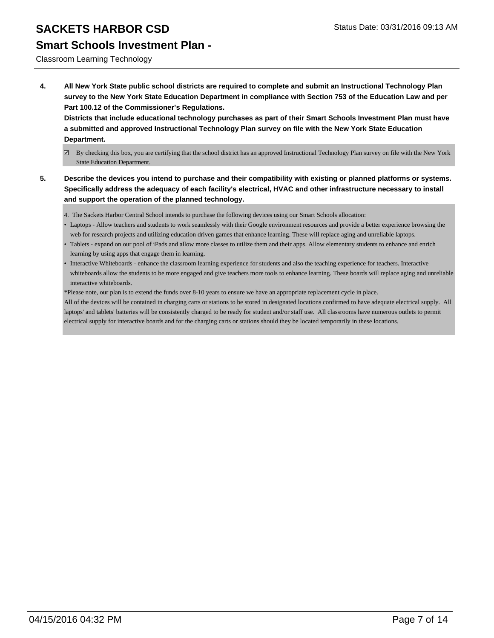#### **Smart Schools Investment Plan -**

#### Classroom Learning Technology

**4. All New York State public school districts are required to complete and submit an Instructional Technology Plan survey to the New York State Education Department in compliance with Section 753 of the Education Law and per Part 100.12 of the Commissioner's Regulations.**

**Districts that include educational technology purchases as part of their Smart Schools Investment Plan must have a submitted and approved Instructional Technology Plan survey on file with the New York State Education Department.**

- $\boxdot$  By checking this box, you are certifying that the school district has an approved Instructional Technology Plan survey on file with the New York State Education Department.
- **5. Describe the devices you intend to purchase and their compatibility with existing or planned platforms or systems. Specifically address the adequacy of each facility's electrical, HVAC and other infrastructure necessary to install and support the operation of the planned technology.**
	- 4. The Sackets Harbor Central School intends to purchase the following devices using our Smart Schools allocation:
	- Laptops Allow teachers and students to work seamlessly with their Google environment resources and provide a better experience browsing the web for research projects and utilizing education driven games that enhance learning. These will replace aging and unreliable laptops.
	- Tablets expand on our pool of iPads and allow more classes to utilize them and their apps. Allow elementary students to enhance and enrich learning by using apps that engage them in learning.
	- Interactive Whiteboards enhance the classroom learning experience for students and also the teaching experience for teachers. Interactive whiteboards allow the students to be more engaged and give teachers more tools to enhance learning. These boards will replace aging and unreliable interactive whiteboards.

\*Please note, our plan is to extend the funds over 8-10 years to ensure we have an appropriate replacement cycle in place.

All of the devices will be contained in charging carts or stations to be stored in designated locations confirmed to have adequate electrical supply. All laptops' and tablets' batteries will be consistently charged to be ready for student and/or staff use. All classrooms have numerous outlets to permit electrical supply for interactive boards and for the charging carts or stations should they be located temporarily in these locations.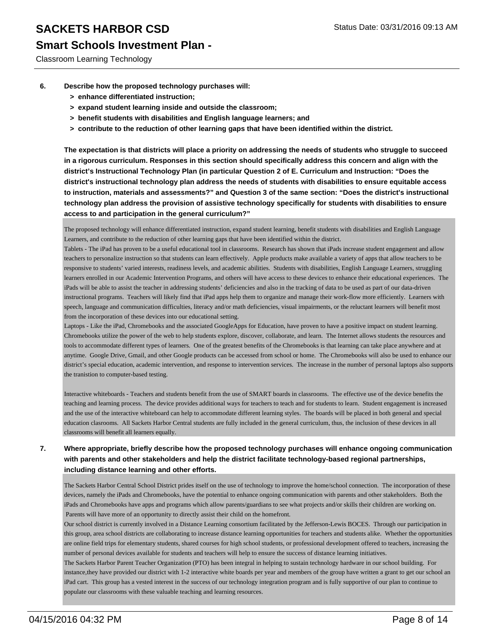#### **Smart Schools Investment Plan -**

Classroom Learning Technology

- **6. Describe how the proposed technology purchases will:**
	- **> enhance differentiated instruction;**
	- **> expand student learning inside and outside the classroom;**
	- **> benefit students with disabilities and English language learners; and**
	- **> contribute to the reduction of other learning gaps that have been identified within the district.**

**The expectation is that districts will place a priority on addressing the needs of students who struggle to succeed in a rigorous curriculum. Responses in this section should specifically address this concern and align with the district's Instructional Technology Plan (in particular Question 2 of E. Curriculum and Instruction: "Does the district's instructional technology plan address the needs of students with disabilities to ensure equitable access to instruction, materials and assessments?" and Question 3 of the same section: "Does the district's instructional technology plan address the provision of assistive technology specifically for students with disabilities to ensure access to and participation in the general curriculum?"**

The proposed technology will enhance differentiated instruction, expand student learning, benefit students with disabilities and English Language Learners, and contribute to the reduction of other learning gaps that have been identified within the district.

Tablets - The iPad has proven to be a useful educational tool in classrooms. Research has shown that iPads increase student engagement and allow teachers to personalize instruction so that students can learn effectively. Apple products make available a variety of apps that allow teachers to be responsive to students' varied interests, readiness levels, and academic abilities. Students with disabilities, English Language Learners, struggling learners enrolled in our Academic Intervention Programs, and others will have access to these devices to enhance their educational experiences. The iPads will be able to assist the teacher in addressing students' deficiencies and also in the tracking of data to be used as part of our data-driven instructional programs. Teachers will likely find that iPad apps help them to organize and manage their work-flow more efficiently. Learners with speech, language and communication difficulties, literacy and/or math deficiencies, visual impairments, or the reluctant learners will benefit most from the incorporation of these devices into our educational setting.

Laptops - Like the iPad, Chromebooks and the associated GoogleApps for Education, have proven to have a positive impact on student learning. Chromebooks utilize the power of the web to help students explore, discover, collaborate, and learn. The Internet allows students the resources and tools to accommodate different types of learners. One of the greatest benefits of the Chromebooks is that learning can take place anywhere and at anytime. Google Drive, Gmail, and other Google products can be accessed from school or home. The Chromebooks will also be used to enhance our district's special education, academic intervention, and response to intervention services. The increase in the number of personal laptops also supports the tranistion to computer-based testing.

Interactive whiteboards - Teachers and students benefit from the use of SMART boards in classrooms. The effective use of the device benefits the teaching and learning process. The device provides additional ways for teachers to teach and for students to learn. Student engagement is increased and the use of the interactive whiteboard can help to accommodate different learning styles. The boards will be placed in both general and special education clasrooms. All Sackets Harbor Central students are fully included in the general curriculum, thus, the inclusion of these devices in all classrooms will benefit all learners equally.

#### **7. Where appropriate, briefly describe how the proposed technology purchases will enhance ongoing communication with parents and other stakeholders and help the district facilitate technology-based regional partnerships, including distance learning and other efforts.**

The Sackets Harbor Central School District prides itself on the use of technology to improve the home/school connection. The incorporation of these devices, namely the iPads and Chromebooks, have the potential to enhance ongoing communication with parents and other stakeholders. Both the iPads and Chromebooks have apps and programs which allow parents/guardians to see what projects and/or skills their children are working on. Parents will have more of an opportunity to directly assist their child on the homefront.

Our school district is currently involved in a Distance Learning consortium facilitated by the Jefferson-Lewis BOCES. Through our participation in this group, area school districts are collaborating to increase distance learning opportunities for teachers and students alike. Whether the opportunities are online field trips for elementary students, shared courses for high school students, or professional development offered to teachers, increasing the number of personal devices available for students and teachers will help to ensure the success of distance learning initiatives.

The Sackets Harbor Parent Teacher Organization (PTO) has been integral in helping to sustain technology hardware in our school building. For instance,they have provided our district with 1-2 interactive white boards per year and members of the group have written a grant to get our school an iPad cart. This group has a vested interest in the success of our technology integration program and is fully supportive of our plan to continue to populate our classrooms with these valuable teaching and learning resources.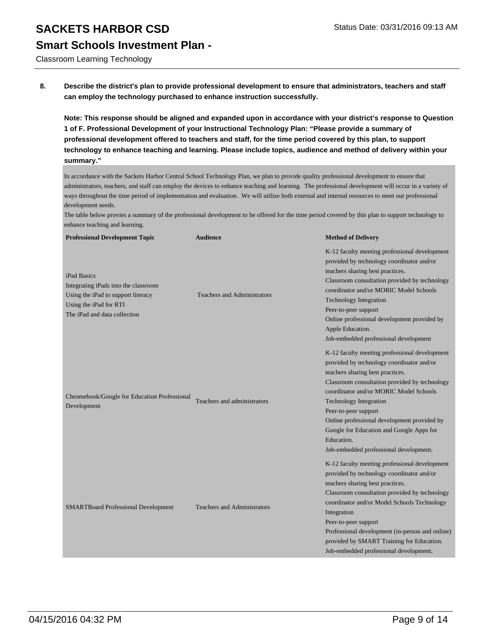Classroom Learning Technology

**8. Describe the district's plan to provide professional development to ensure that administrators, teachers and staff can employ the technology purchased to enhance instruction successfully.**

**Note: This response should be aligned and expanded upon in accordance with your district's response to Question 1 of F. Professional Development of your Instructional Technology Plan: "Please provide a summary of professional development offered to teachers and staff, for the time period covered by this plan, to support technology to enhance teaching and learning. Please include topics, audience and method of delivery within your summary."**

In accordance with the Sackets Harbor Central School Technology Plan, we plan to provide quality professional development to ensure that administrators, teachers, and staff can employ the devices to enhance teaching and learning. The professional development will occur in a variety of ways throughout the time period of implementation and evaluation. We will utilize both external and internal resources to meet our professional development needs.

The table below provies a summary of the professional development to be offered for the time period covered by this plan to support technology to enhance teaching and learning.

| <b>Professional Development Topic</b>                                                                                                               | <b>Audience</b>                    | <b>Method of Delivery</b>                                                                                                                                                                                                                                                                                                                                                                                                             |
|-----------------------------------------------------------------------------------------------------------------------------------------------------|------------------------------------|---------------------------------------------------------------------------------------------------------------------------------------------------------------------------------------------------------------------------------------------------------------------------------------------------------------------------------------------------------------------------------------------------------------------------------------|
| iPad Basics<br>Integrating iPads into the classroom<br>Using the iPad to support literacy<br>Using the iPad for RTI<br>The iPad and data collection | <b>Teachers and Administrators</b> | K-12 faculty meeting professional development<br>provided by technology coordinator and/or<br>teachers sharing best practices.<br>Classroom consultation provided by technology<br>coordinator and/or MORIC Model Schools<br><b>Technology Integration</b><br>Peer-to-peer support<br>Online professional development provided by<br>Apple Education.<br>Job-embedded professional development                                        |
| Chromebook/Google for Education Professional<br>Development                                                                                         | Teachers and administrators        | K-12 faculty meeting professional development<br>provided by technology coordinator and/or<br>teachers sharing best practices.<br>Classroom consultation provided by technology<br>coordinator and/or MORIC Model Schools<br><b>Technology Integration</b><br>Peer-to-peer support<br>Online professional development provided by<br>Google for Education and Google Apps for<br>Education.<br>Job-embedded professional development. |
| <b>SMARTBoard Professional Development</b>                                                                                                          | <b>Teachers and Administrators</b> | K-12 faculty meeting professional development<br>provided by technology coordinator and/or<br>teachers sharing best practices.<br>Classroom consultation provided by technology<br>coordinator and/or Model Schools Technology<br>Integration<br>Peer-to-peer support<br>Professional development (in-person and online)<br>provided by SMART Training for Education.<br>Job-embedded professional development.                       |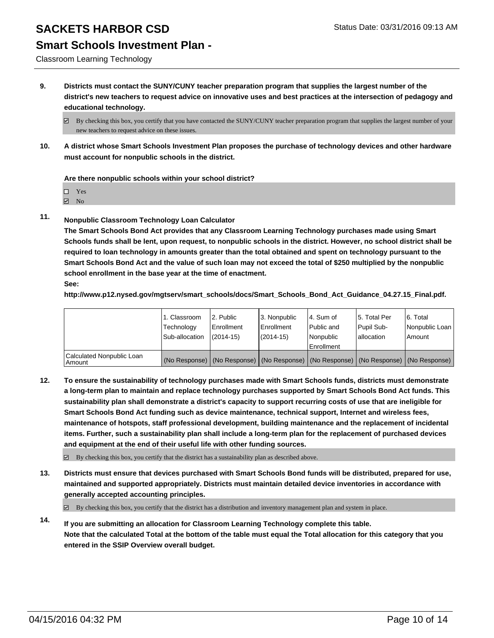#### **Smart Schools Investment Plan -**

Classroom Learning Technology

**9. Districts must contact the SUNY/CUNY teacher preparation program that supplies the largest number of the district's new teachers to request advice on innovative uses and best practices at the intersection of pedagogy and educational technology.**

**10. A district whose Smart Schools Investment Plan proposes the purchase of technology devices and other hardware must account for nonpublic schools in the district.**

**Are there nonpublic schools within your school district?**

Yes

**☑** No

**11. Nonpublic Classroom Technology Loan Calculator**

**The Smart Schools Bond Act provides that any Classroom Learning Technology purchases made using Smart Schools funds shall be lent, upon request, to nonpublic schools in the district. However, no school district shall be required to loan technology in amounts greater than the total obtained and spent on technology pursuant to the Smart Schools Bond Act and the value of such loan may not exceed the total of \$250 multiplied by the nonpublic school enrollment in the base year at the time of enactment. See:**

**http://www.p12.nysed.gov/mgtserv/smart\_schools/docs/Smart\_Schools\_Bond\_Act\_Guidance\_04.27.15\_Final.pdf.**

|                                       | 1. Classroom<br>Technology | 2. Public<br>Enrollment | 3. Nonpublic<br><b>Enrollment</b> | l 4. Sum of<br>l Public and | 15. Total Per<br>Pupil Sub-                                                                   | 6. Total<br>Nonpublic Loan |
|---------------------------------------|----------------------------|-------------------------|-----------------------------------|-----------------------------|-----------------------------------------------------------------------------------------------|----------------------------|
|                                       | Sub-allocation             | $(2014 - 15)$           | (2014-15)                         | Nonpublic<br>Enrollment     | lallocation                                                                                   | Amount                     |
| Calculated Nonpublic Loan<br>  Amount |                            |                         |                                   |                             | (No Response)   (No Response)   (No Response)   (No Response)   (No Response)   (No Response) |                            |

**12. To ensure the sustainability of technology purchases made with Smart Schools funds, districts must demonstrate a long-term plan to maintain and replace technology purchases supported by Smart Schools Bond Act funds. This sustainability plan shall demonstrate a district's capacity to support recurring costs of use that are ineligible for Smart Schools Bond Act funding such as device maintenance, technical support, Internet and wireless fees, maintenance of hotspots, staff professional development, building maintenance and the replacement of incidental items. Further, such a sustainability plan shall include a long-term plan for the replacement of purchased devices and equipment at the end of their useful life with other funding sources.**

 $\boxtimes$  By checking this box, you certify that the district has a sustainability plan as described above.

**13. Districts must ensure that devices purchased with Smart Schools Bond funds will be distributed, prepared for use, maintained and supported appropriately. Districts must maintain detailed device inventories in accordance with generally accepted accounting principles.**

 $\boxtimes$  By checking this box, you certify that the district has a distribution and inventory management plan and system in place.

**14. If you are submitting an allocation for Classroom Learning Technology complete this table. Note that the calculated Total at the bottom of the table must equal the Total allocation for this category that you entered in the SSIP Overview overall budget.**

 $\boxtimes$  By checking this box, you certify that you have contacted the SUNY/CUNY teacher preparation program that supplies the largest number of your new teachers to request advice on these issues.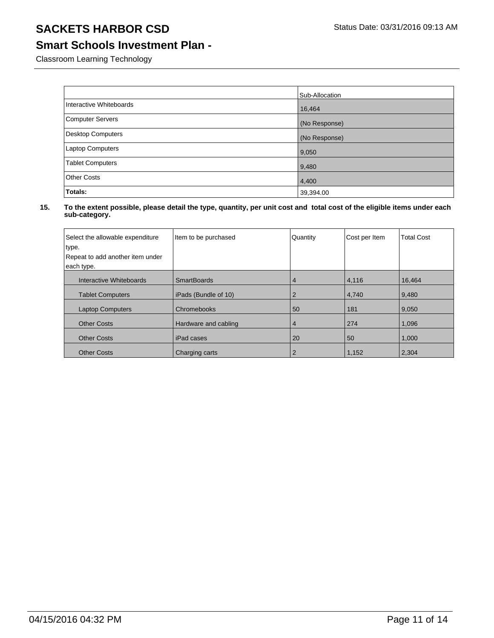#### **Smart Schools Investment Plan -**

Classroom Learning Technology

|                         | Sub-Allocation |
|-------------------------|----------------|
| Interactive Whiteboards | 16,464         |
| <b>Computer Servers</b> | (No Response)  |
| Desktop Computers       | (No Response)  |
| <b>Laptop Computers</b> | 9,050          |
| <b>Tablet Computers</b> | 9,480          |
| <b>Other Costs</b>      | 4,400          |
| Totals:                 | 39,394.00      |

| Select the allowable expenditure<br>type.<br>Repeat to add another item under | Item to be purchased | Quantity | Cost per Item | <b>Total Cost</b> |
|-------------------------------------------------------------------------------|----------------------|----------|---------------|-------------------|
|                                                                               |                      |          |               |                   |
| each type.                                                                    |                      |          |               |                   |
| Interactive Whiteboards                                                       | <b>SmartBoards</b>   | 4        | 4,116         | 16,464            |
| <b>Tablet Computers</b>                                                       | iPads (Bundle of 10) |          | 4,740         | 9,480             |
| <b>Laptop Computers</b>                                                       | Chromebooks          | 50       | 181           | 9,050             |
| <b>Other Costs</b>                                                            | Hardware and cabling | 4        | 274           | 1,096             |
| <b>Other Costs</b>                                                            | iPad cases           | 20       | 50            | 1,000             |
| <b>Other Costs</b>                                                            | Charging carts       |          | 1,152         | 2.304             |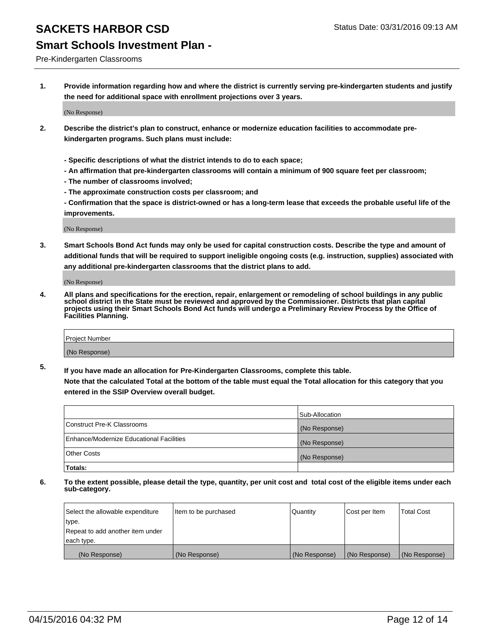#### **Smart Schools Investment Plan -**

Pre-Kindergarten Classrooms

**1. Provide information regarding how and where the district is currently serving pre-kindergarten students and justify the need for additional space with enrollment projections over 3 years.**

(No Response)

- **2. Describe the district's plan to construct, enhance or modernize education facilities to accommodate prekindergarten programs. Such plans must include:**
	- **Specific descriptions of what the district intends to do to each space;**
	- **An affirmation that pre-kindergarten classrooms will contain a minimum of 900 square feet per classroom;**
	- **The number of classrooms involved;**
	- **The approximate construction costs per classroom; and**
	- **Confirmation that the space is district-owned or has a long-term lease that exceeds the probable useful life of the improvements.**

(No Response)

**3. Smart Schools Bond Act funds may only be used for capital construction costs. Describe the type and amount of additional funds that will be required to support ineligible ongoing costs (e.g. instruction, supplies) associated with any additional pre-kindergarten classrooms that the district plans to add.**

(No Response)

**4. All plans and specifications for the erection, repair, enlargement or remodeling of school buildings in any public school district in the State must be reviewed and approved by the Commissioner. Districts that plan capital projects using their Smart Schools Bond Act funds will undergo a Preliminary Review Process by the Office of Facilities Planning.**

| Project Number |  |
|----------------|--|
| (No Response)  |  |

**5. If you have made an allocation for Pre-Kindergarten Classrooms, complete this table. Note that the calculated Total at the bottom of the table must equal the Total allocation for this category that you**

**entered in the SSIP Overview overall budget.**

|                                          | Sub-Allocation |
|------------------------------------------|----------------|
| Construct Pre-K Classrooms               | (No Response)  |
| Enhance/Modernize Educational Facilities | (No Response)  |
| Other Costs                              | (No Response)  |
| <b>Totals:</b>                           |                |

| Select the allowable expenditure | Item to be purchased | Quantity      | Cost per Item | <b>Total Cost</b> |
|----------------------------------|----------------------|---------------|---------------|-------------------|
| type.                            |                      |               |               |                   |
| Repeat to add another item under |                      |               |               |                   |
| each type.                       |                      |               |               |                   |
| (No Response)                    | (No Response)        | (No Response) | (No Response) | (No Response)     |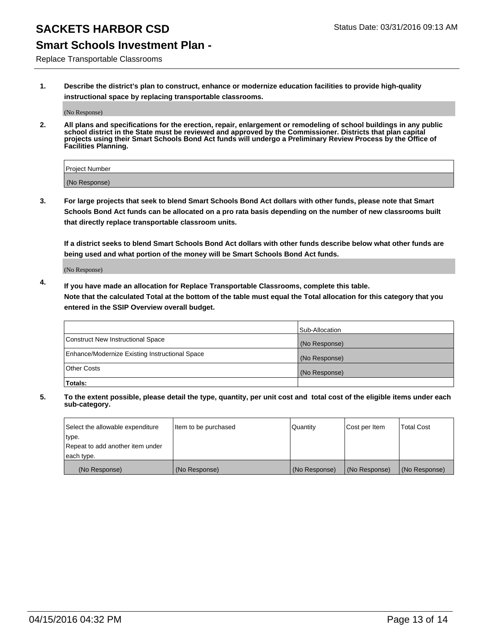### **Smart Schools Investment Plan -**

Replace Transportable Classrooms

**1. Describe the district's plan to construct, enhance or modernize education facilities to provide high-quality instructional space by replacing transportable classrooms.**

(No Response)

**2. All plans and specifications for the erection, repair, enlargement or remodeling of school buildings in any public school district in the State must be reviewed and approved by the Commissioner. Districts that plan capital projects using their Smart Schools Bond Act funds will undergo a Preliminary Review Process by the Office of Facilities Planning.**

| Project Number |  |
|----------------|--|
| (No Response)  |  |

**3. For large projects that seek to blend Smart Schools Bond Act dollars with other funds, please note that Smart Schools Bond Act funds can be allocated on a pro rata basis depending on the number of new classrooms built that directly replace transportable classroom units.**

**If a district seeks to blend Smart Schools Bond Act dollars with other funds describe below what other funds are being used and what portion of the money will be Smart Schools Bond Act funds.**

(No Response)

**4. If you have made an allocation for Replace Transportable Classrooms, complete this table. Note that the calculated Total at the bottom of the table must equal the Total allocation for this category that you entered in the SSIP Overview overall budget.**

|                                                | Sub-Allocation |
|------------------------------------------------|----------------|
| Construct New Instructional Space              | (No Response)  |
| Enhance/Modernize Existing Instructional Space | (No Response)  |
| <b>Other Costs</b>                             | (No Response)  |
| Totals:                                        |                |

| Select the allowable expenditure | Item to be purchased | Quantity      | Cost per Item | <b>Total Cost</b> |
|----------------------------------|----------------------|---------------|---------------|-------------------|
| type.                            |                      |               |               |                   |
| Repeat to add another item under |                      |               |               |                   |
| each type.                       |                      |               |               |                   |
| (No Response)                    | (No Response)        | (No Response) | (No Response) | (No Response)     |